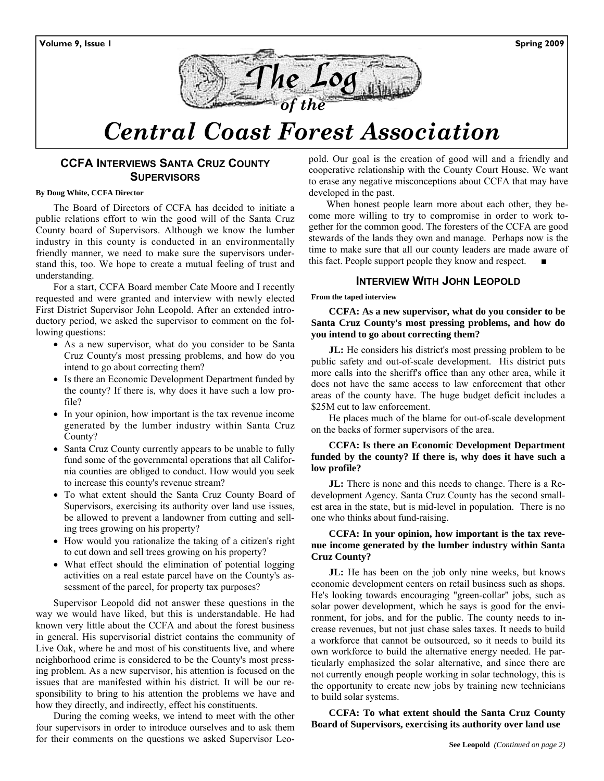

# *Central Coast Forest Association*

### **CCFA INTERVIEWS SANTA CRUZ COUNTY SUPERVISORS**

#### **By Doug White, CCFA Director**

The Board of Directors of CCFA has decided to initiate a public relations effort to win the good will of the Santa Cruz County board of Supervisors. Although we know the lumber industry in this county is conducted in an environmentally friendly manner, we need to make sure the supervisors understand this, too. We hope to create a mutual feeling of trust and understanding.

For a start, CCFA Board member Cate Moore and I recently requested and were granted and interview with newly elected First District Supervisor John Leopold. After an extended introductory period, we asked the supervisor to comment on the following questions:

- As a new supervisor, what do you consider to be Santa Cruz County's most pressing problems, and how do you intend to go about correcting them?
- Is there an Economic Development Department funded by the county? If there is, why does it have such a low profile?
- In your opinion, how important is the tax revenue income generated by the lumber industry within Santa Cruz County?
- Santa Cruz County currently appears to be unable to fully fund some of the governmental operations that all California counties are obliged to conduct. How would you seek to increase this county's revenue stream?
- To what extent should the Santa Cruz County Board of Supervisors, exercising its authority over land use issues, be allowed to prevent a landowner from cutting and selling trees growing on his property?
- How would you rationalize the taking of a citizen's right to cut down and sell trees growing on his property?
- What effect should the elimination of potential logging activities on a real estate parcel have on the County's assessment of the parcel, for property tax purposes?

Supervisor Leopold did not answer these questions in the way we would have liked, but this is understandable. He had known very little about the CCFA and about the forest business in general. His supervisorial district contains the community of Live Oak, where he and most of his constituents live, and where neighborhood crime is considered to be the County's most pressing problem. As a new supervisor, his attention is focused on the issues that are manifested within his district. It will be our responsibility to bring to his attention the problems we have and how they directly, and indirectly, effect his constituents.

During the coming weeks, we intend to meet with the other four supervisors in order to introduce ourselves and to ask them for their comments on the questions we asked Supervisor Leopold. Our goal is the creation of good will and a friendly and cooperative relationship with the County Court House. We want to erase any negative misconceptions about CCFA that may have developed in the past.

When honest people learn more about each other, they become more willing to try to compromise in order to work together for the common good. The foresters of the CCFA are good stewards of the lands they own and manage. Perhaps now is the time to make sure that all our county leaders are made aware of this fact. People support people they know and respect.

#### **INTERVIEW WITH JOHN LEOPOLD**

**From the taped interview** 

**CCFA: As a new supervisor, what do you consider to be Santa Cruz County's most pressing problems, and how do you intend to go about correcting them?** 

**JL:** He considers his district's most pressing problem to be public safety and out-of-scale development. His district puts more calls into the sheriff's office than any other area, while it does not have the same access to law enforcement that other areas of the county have. The huge budget deficit includes a \$25M cut to law enforcement.

He places much of the blame for out-of-scale development on the backs of former supervisors of the area.

#### **CCFA: Is there an Economic Development Department funded by the county? If there is, why does it have such a low profile?**

**JL:** There is none and this needs to change. There is a Redevelopment Agency. Santa Cruz County has the second smallest area in the state, but is mid-level in population. There is no one who thinks about fund-raising.

#### **CCFA: In your opinion, how important is the tax revenue income generated by the lumber industry within Santa Cruz County?**

**JL:** He has been on the job only nine weeks, but knows economic development centers on retail business such as shops. He's looking towards encouraging "green-collar" jobs, such as solar power development, which he says is good for the environment, for jobs, and for the public. The county needs to increase revenues, but not just chase sales taxes. It needs to build a workforce that cannot be outsourced, so it needs to build its own workforce to build the alternative energy needed. He particularly emphasized the solar alternative, and since there are not currently enough people working in solar technology, this is the opportunity to create new jobs by training new technicians to build solar systems.

**CCFA: To what extent should the Santa Cruz County Board of Supervisors, exercising its authority over land use**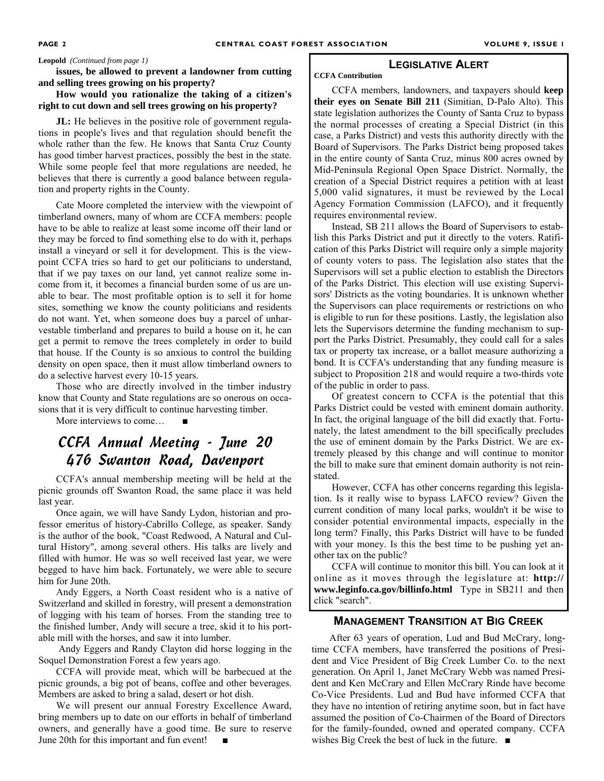#### **Leopold** *(Continued from page 1)*

**issues, be allowed to prevent a landowner from cutting and selling trees growing on his property?** 

#### **How would you rationalize the taking of a citizen's right to cut down and sell trees growing on his property?**

**JL:** He believes in the positive role of government regulations in people's lives and that regulation should benefit the whole rather than the few. He knows that Santa Cruz County has good timber harvest practices, possibly the best in the state. While some people feel that more regulations are needed, he believes that there is currently a good balance between regulation and property rights in the County.

Cate Moore completed the interview with the viewpoint of timberland owners, many of whom are CCFA members: people have to be able to realize at least some income off their land or they may be forced to find something else to do with it, perhaps install a vineyard or sell it for development. This is the viewpoint CCFA tries so hard to get our politicians to understand, that if we pay taxes on our land, yet cannot realize some income from it, it becomes a financial burden some of us are unable to bear. The most profitable option is to sell it for home sites, something we know the county politicians and residents do not want. Yet, when someone does buy a parcel of unharvestable timberland and prepares to build a house on it, he can get a permit to remove the trees completely in order to build that house. If the County is so anxious to control the building density on open space, then it must allow timberland owners to do a selective harvest every 10-15 years.

Those who are directly involved in the timber industry know that County and State regulations are so onerous on occasions that it is very difficult to continue harvesting timber.

More interviews to come...

## CCFA Annual Meeting - June 20 476 Swanton Road, Davenport

CCFA's annual membership meeting will be held at the picnic grounds off Swanton Road, the same place it was held last year.

Once again, we will have Sandy Lydon, historian and professor emeritus of history-Cabrillo College, as speaker. Sandy is the author of the book, "Coast Redwood, A Natural and Cultural History", among several others. His talks are lively and filled with humor. He was so well received last year, we were begged to have him back. Fortunately, we were able to secure him for June 20th.

Andy Eggers, a North Coast resident who is a native of Switzerland and skilled in forestry, will present a demonstration of logging with his team of horses. From the standing tree to the finished lumber, Andy will secure a tree, skid it to his portable mill with the horses, and saw it into lumber.

 Andy Eggers and Randy Clayton did horse logging in the Soquel Demonstration Forest a few years ago.

CCFA will provide meat, which will be barbecued at the picnic grounds, a big pot of beans, coffee and other beverages. Members are asked to bring a salad, desert or hot dish.

We will present our annual Forestry Excellence Award, bring members up to date on our efforts in behalf of timberland owners, and generally have a good time. Be sure to reserve June 20th for this important and fun event! ■

#### **LEGISLATIVE ALERT**

**CCFA Contribution** 

CCFA members, landowners, and taxpayers should **keep their eyes on Senate Bill 211** (Simitian, D-Palo Alto). This state legislation authorizes the County of Santa Cruz to bypass the normal processes of creating a Special District (in this case, a Parks District) and vests this authority directly with the Board of Supervisors. The Parks District being proposed takes in the entire county of Santa Cruz, minus 800 acres owned by Mid-Peninsula Regional Open Space District. Normally, the creation of a Special District requires a petition with at least 5,000 valid signatures, it must be reviewed by the Local Agency Formation Commission (LAFCO), and it frequently requires environmental review.

Instead, SB 211 allows the Board of Supervisors to establish this Parks District and put it directly to the voters. Ratification of this Parks District will require only a simple majority of county voters to pass. The legislation also states that the Supervisors will set a public election to establish the Directors of the Parks District. This election will use existing Supervisors' Districts as the voting boundaries. It is unknown whether the Supervisors can place requirements or restrictions on who is eligible to run for these positions. Lastly, the legislation also lets the Supervisors determine the funding mechanism to support the Parks District. Presumably, they could call for a sales tax or property tax increase, or a ballot measure authorizing a bond. It is CCFA's understanding that any funding measure is subject to Proposition 218 and would require a two-thirds vote of the public in order to pass.

Of greatest concern to CCFA is the potential that this Parks District could be vested with eminent domain authority. In fact, the original language of the bill did exactly that. Fortunately, the latest amendment to the bill specifically precludes the use of eminent domain by the Parks District. We are extremely pleased by this change and will continue to monitor the bill to make sure that eminent domain authority is not reinstated.

However, CCFA has other concerns regarding this legislation. Is it really wise to bypass LAFCO review? Given the current condition of many local parks, wouldn't it be wise to consider potential environmental impacts, especially in the long term? Finally, this Parks District will have to be funded with your money. Is this the best time to be pushing yet another tax on the public?

CCFA will continue to monitor this bill. You can look at it online as it moves through the legislature at: **http:// www.leginfo.ca.gov/billinfo.html** Type in SB211 and then click "search".

#### **MANAGEMENT TRANSITION AT BIG CREEK**

After 63 years of operation, Lud and Bud McCrary, longtime CCFA members, have transferred the positions of President and Vice President of Big Creek Lumber Co. to the next generation. On April 1, Janet McCrary Webb was named President and Ken McCrary and Ellen McCrary Rinde have become Co-Vice Presidents. Lud and Bud have informed CCFA that they have no intention of retiring anytime soon, but in fact have assumed the position of Co-Chairmen of the Board of Directors for the family-founded, owned and operated company. CCFA wishes Big Creek the best of luck in the future. ■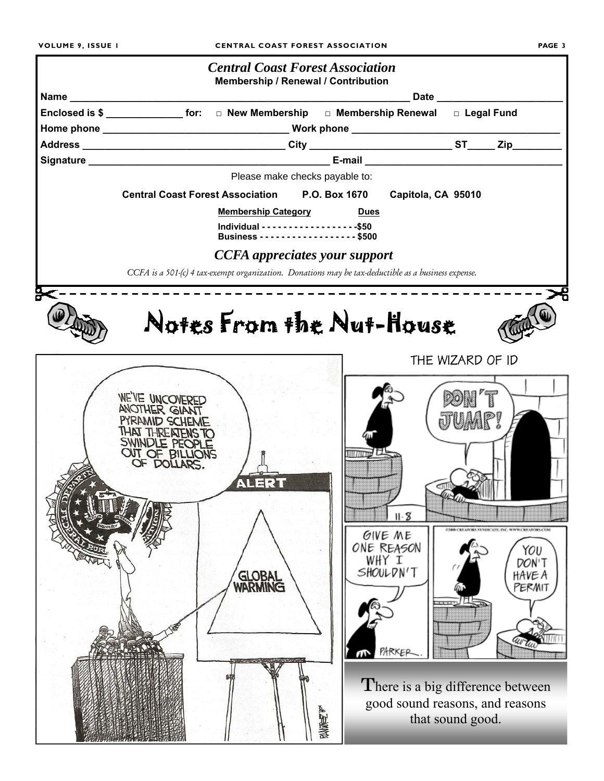